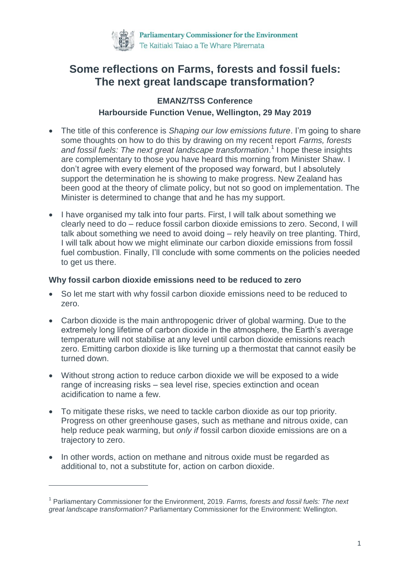

# **Some reflections on Farms, forests and fossil fuels: The next great landscape transformation?**

## **EMANZ/TSS Conference Harbourside Function Venue, Wellington, 29 May 2019**

- The title of this conference is *Shaping our low emissions future*. I'm going to share some thoughts on how to do this by drawing on my recent report *Farms, forests and fossil fuels: The next great landscape transformation*. 1 I hope these insights are complementary to those you have heard this morning from Minister Shaw. I don't agree with every element of the proposed way forward, but I absolutely support the determination he is showing to make progress. New Zealand has been good at the theory of climate policy, but not so good on implementation. The Minister is determined to change that and he has my support.
- I have organised my talk into four parts. First, I will talk about something we clearly need to do – reduce fossil carbon dioxide emissions to zero. Second, I will talk about something we need to avoid doing – rely heavily on tree planting. Third, I will talk about how we might eliminate our carbon dioxide emissions from fossil fuel combustion. Finally, I'll conclude with some comments on the policies needed to get us there.

### **Why fossil carbon dioxide emissions need to be reduced to zero**

- So let me start with why fossil carbon dioxide emissions need to be reduced to zero.
- Carbon dioxide is the main anthropogenic driver of global warming. Due to the extremely long lifetime of carbon dioxide in the atmosphere, the Earth's average temperature will not stabilise at any level until carbon dioxide emissions reach zero. Emitting carbon dioxide is like turning up a thermostat that cannot easily be turned down.
- Without strong action to reduce carbon dioxide we will be exposed to a wide range of increasing risks – sea level rise, species extinction and ocean acidification to name a few.
- To mitigate these risks, we need to tackle carbon dioxide as our top priority. Progress on other greenhouse gases, such as methane and nitrous oxide, can help reduce peak warming, but *only if* fossil carbon dioxide emissions are on a trajectory to zero.
- In other words, action on methane and nitrous oxide must be regarded as additional to, not a substitute for, action on carbon dioxide.

<sup>1</sup> Parliamentary Commissioner for the Environment, 2019. *Farms, forests and fossil fuels: The next great landscape transformation?* Parliamentary Commissioner for the Environment: Wellington.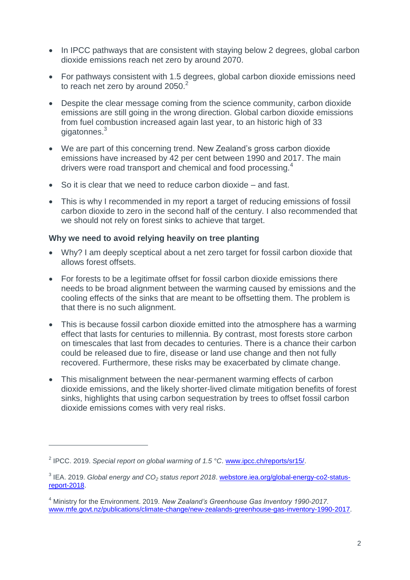- In IPCC pathways that are consistent with staying below 2 degrees, global carbon dioxide emissions reach net zero by around 2070.
- For pathways consistent with 1.5 degrees, global carbon dioxide emissions need to reach net zero by around  $2050.<sup>2</sup>$
- Despite the clear message coming from the science community, carbon dioxide emissions are still going in the wrong direction. Global carbon dioxide emissions from fuel combustion increased again last year, to an historic high of 33 gigatonnes.<sup>3</sup>
- We are part of this concerning trend. New Zealand's gross carbon dioxide emissions have increased by 42 per cent between 1990 and 2017. The main drivers were road transport and chemical and food processing.<sup>4</sup>
- So it is clear that we need to reduce carbon dioxide and fast.
- This is why I recommended in my report a target of reducing emissions of fossil carbon dioxide to zero in the second half of the century. I also recommended that we should not rely on forest sinks to achieve that target.

#### **Why we need to avoid relying heavily on tree planting**

- Why? I am deeply sceptical about a net zero target for fossil carbon dioxide that allows forest offsets.
- For forests to be a legitimate offset for fossil carbon dioxide emissions there needs to be broad alignment between the warming caused by emissions and the cooling effects of the sinks that are meant to be offsetting them. The problem is that there is no such alignment.
- This is because fossil carbon dioxide emitted into the atmosphere has a warming effect that lasts for centuries to millennia. By contrast, most forests store carbon on timescales that last from decades to centuries. There is a chance their carbon could be released due to fire, disease or land use change and then not fully recovered. Furthermore, these risks may be exacerbated by climate change.
- This misalignment between the near-permanent warming effects of carbon dioxide emissions, and the likely shorter-lived climate mitigation benefits of forest sinks, highlights that using carbon sequestration by trees to offset fossil carbon dioxide emissions comes with very real risks.

<sup>2</sup> IPCC. 2019. *Special report on global warming of 1.5 °C*. [www.ipcc.ch/reports/sr15/.](http://www.ipcc.ch/reports/sr15/)

<sup>3</sup> IEA. 2019. *Global energy and CO<sup>2</sup> status report 2018*. [webstore.iea.org/global-energy-co2-status](https://webstore.iea.org/global-energy-co2-status-report-2018)[report-2018.](https://webstore.iea.org/global-energy-co2-status-report-2018)

<sup>4</sup> Ministry for the Environment. 2019. *New Zealand's Greenhouse Gas Inventory 1990-2017*. [www.mfe.govt.nz/publications/climate-change/new-zealands-greenhouse-gas-inventory-1990-2017.](http://www.mfe.govt.nz/publications/climate-change/new-zealands-greenhouse-gas-inventory-1990-2017)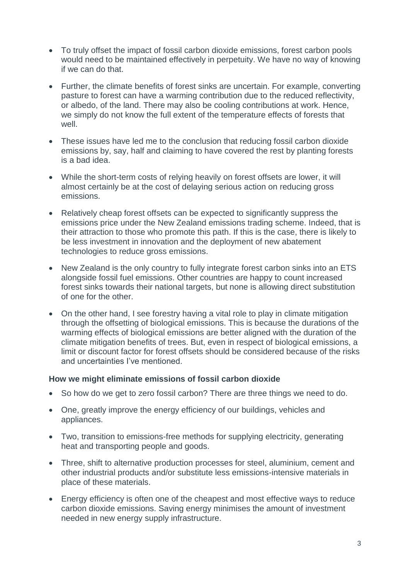- To truly offset the impact of fossil carbon dioxide emissions, forest carbon pools would need to be maintained effectively in perpetuity. We have no way of knowing if we can do that.
- Further, the climate benefits of forest sinks are uncertain. For example, converting pasture to forest can have a warming contribution due to the reduced reflectivity, or albedo, of the land. There may also be cooling contributions at work. Hence, we simply do not know the full extent of the temperature effects of forests that well.
- These issues have led me to the conclusion that reducing fossil carbon dioxide emissions by, say, half and claiming to have covered the rest by planting forests is a bad idea.
- While the short-term costs of relying heavily on forest offsets are lower, it will almost certainly be at the cost of delaying serious action on reducing gross emissions.
- Relatively cheap forest offsets can be expected to significantly suppress the emissions price under the New Zealand emissions trading scheme. Indeed, that is their attraction to those who promote this path. If this is the case, there is likely to be less investment in innovation and the deployment of new abatement technologies to reduce gross emissions.
- New Zealand is the only country to fully integrate forest carbon sinks into an ETS alongside fossil fuel emissions. Other countries are happy to count increased forest sinks towards their national targets, but none is allowing direct substitution of one for the other.
- On the other hand, I see forestry having a vital role to play in climate mitigation through the offsetting of biological emissions. This is because the durations of the warming effects of biological emissions are better aligned with the duration of the climate mitigation benefits of trees. But, even in respect of biological emissions, a limit or discount factor for forest offsets should be considered because of the risks and uncertainties I've mentioned.

#### **How we might eliminate emissions of fossil carbon dioxide**

- So how do we get to zero fossil carbon? There are three things we need to do.
- One, greatly improve the energy efficiency of our buildings, vehicles and appliances.
- Two, transition to emissions-free methods for supplying electricity, generating heat and transporting people and goods.
- Three, shift to alternative production processes for steel, aluminium, cement and other industrial products and/or substitute less emissions-intensive materials in place of these materials.
- Energy efficiency is often one of the cheapest and most effective ways to reduce carbon dioxide emissions. Saving energy minimises the amount of investment needed in new energy supply infrastructure.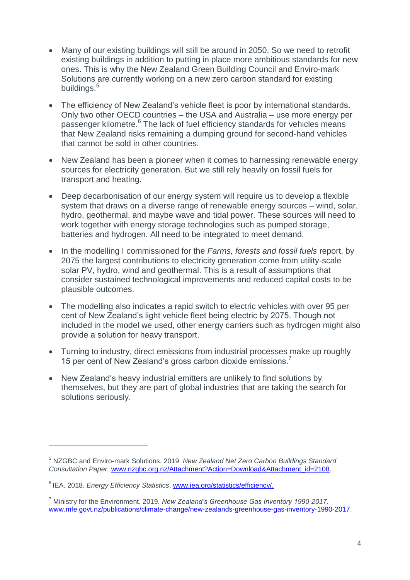- Many of our existing buildings will still be around in 2050. So we need to retrofit existing buildings in addition to putting in place more ambitious standards for new ones. This is why the New Zealand Green Building Council and Enviro-mark Solutions are currently working on a new zero carbon standard for existing buildings.<sup>5</sup>
- The efficiency of New Zealand's vehicle fleet is poor by international standards. Only two other OECD countries – the USA and Australia – use more energy per passenger kilometre.<sup>6</sup> The lack of fuel efficiency standards for vehicles means that New Zealand risks remaining a dumping ground for second-hand vehicles that cannot be sold in other countries.
- New Zealand has been a pioneer when it comes to harnessing renewable energy sources for electricity generation. But we still rely heavily on fossil fuels for transport and heating.
- Deep decarbonisation of our energy system will require us to develop a flexible system that draws on a diverse range of renewable energy sources – wind, solar, hydro, geothermal, and maybe wave and tidal power. These sources will need to work together with energy storage technologies such as pumped storage, batteries and hydrogen. All need to be integrated to meet demand.
- In the modelling I commissioned for the *Farms, forests and fossil fuels* report, by 2075 the largest contributions to electricity generation come from utility-scale solar PV, hydro, wind and geothermal. This is a result of assumptions that consider sustained technological improvements and reduced capital costs to be plausible outcomes.
- The modelling also indicates a rapid switch to electric vehicles with over 95 per cent of New Zealand's light vehicle fleet being electric by 2075. Though not included in the model we used, other energy carriers such as hydrogen might also provide a solution for heavy transport.
- Turning to industry, direct emissions from industrial processes make up roughly 15 per cent of New Zealand's gross carbon dioxide emissions.<sup>7</sup>
- New Zealand's heavy industrial emitters are unlikely to find solutions by themselves, but they are part of global industries that are taking the search for solutions seriously.

<sup>5</sup> NZGBC and Enviro-mark Solutions. 2019. *New Zealand Net Zero Carbon Buildings Standard Consultation Paper.* [www.nzgbc.org.nz/Attachment?Action=Download&Attachment\\_id=2108.](http://www.nzgbc.org.nz/Attachment?Action=Download&Attachment_id=2108)

<sup>6</sup> IEA. 2018. *Energy Efficiency Statistics*. [www.iea.org/statistics/efficiency/.](http://www.iea.org/statistics/efficiency/)

<sup>7</sup> Ministry for the Environment. 2019. *New Zealand's Greenhouse Gas Inventory 1990-2017*. [www.mfe.govt.nz/publications/climate-change/new-zealands-greenhouse-gas-inventory-1990-2017.](http://www.mfe.govt.nz/publications/climate-change/new-zealands-greenhouse-gas-inventory-1990-2017)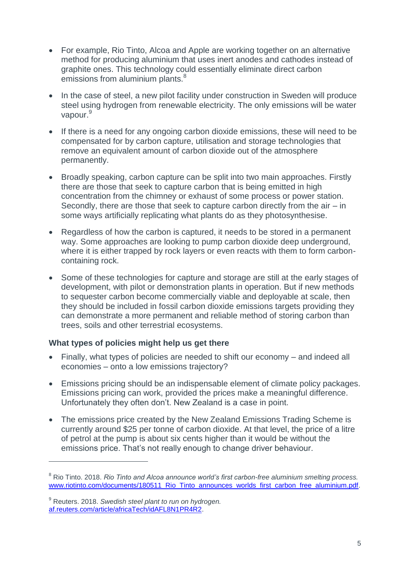- For example, Rio Tinto, Alcoa and Apple are working together on an alternative method for producing aluminium that uses inert anodes and cathodes instead of graphite ones. This technology could essentially eliminate direct carbon emissions from aluminium plants.<sup>8</sup>
- In the case of steel, a new pilot facility under construction in Sweden will produce steel using hydrogen from renewable electricity. The only emissions will be water vapour.<sup>9</sup>
- If there is a need for any ongoing carbon dioxide emissions, these will need to be compensated for by carbon capture, utilisation and storage technologies that remove an equivalent amount of carbon dioxide out of the atmosphere permanently.
- Broadly speaking, carbon capture can be split into two main approaches. Firstly there are those that seek to capture carbon that is being emitted in high concentration from the chimney or exhaust of some process or power station. Secondly, there are those that seek to capture carbon directly from the air – in some ways artificially replicating what plants do as they photosynthesise.
- Regardless of how the carbon is captured, it needs to be stored in a permanent way. Some approaches are looking to pump carbon dioxide deep underground, where it is either trapped by rock layers or even reacts with them to form carboncontaining rock.
- Some of these technologies for capture and storage are still at the early stages of development, with pilot or demonstration plants in operation. But if new methods to sequester carbon become commercially viable and deployable at scale, then they should be included in fossil carbon dioxide emissions targets providing they can demonstrate a more permanent and reliable method of storing carbon than trees, soils and other terrestrial ecosystems.

## **What types of policies might help us get there**

- Finally, what types of policies are needed to shift our economy and indeed all economies – onto a low emissions trajectory?
- Emissions pricing should be an indispensable element of climate policy packages. Emissions pricing can work, provided the prices make a meaningful difference. Unfortunately they often don't. New Zealand is a case in point.
- The emissions price created by the New Zealand Emissions Trading Scheme is currently around \$25 per tonne of carbon dioxide. At that level, the price of a litre of petrol at the pump is about six cents higher than it would be without the emissions price. That's not really enough to change driver behaviour.

<sup>8</sup> Rio Tinto. 2018. *Rio Tinto and Alcoa announce world's first carbon-free aluminium smelting process.* [www.riotinto.com/documents/180511\\_Rio\\_Tinto\\_announces\\_worlds\\_first\\_carbon\\_free\\_aluminium.pdf.](http://www.riotinto.com/documents/180511_Rio_Tinto_announces_worlds_first_carbon_free_aluminium.pdf)

<sup>9</sup> Reuters. 2018. *Swedish steel plant to run on hydrogen.* [af.reuters.com/article/africaTech/idAFL8N1PR4R2.](https://af.reuters.com/article/africaTech/idAFL8N1PR4R2)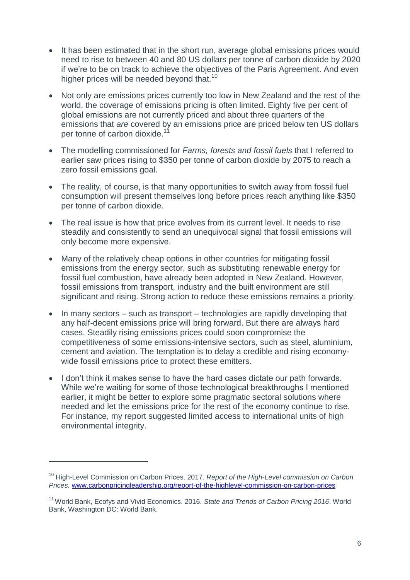- It has been estimated that in the short run, average global emissions prices would need to rise to between 40 and 80 US dollars per tonne of carbon dioxide by 2020 if we're to be on track to achieve the objectives of the Paris Agreement. And even higher prices will be needed beyond that. $10<sup>10</sup>$
- Not only are emissions prices currently too low in New Zealand and the rest of the world, the coverage of emissions pricing is often limited. Eighty five per cent of global emissions are not currently priced and about three quarters of the emissions that *are* covered by an emissions price are priced below ten US dollars per tonne of carbon dioxide.<sup>11</sup>
- The modelling commissioned for *Farms, forests and fossil fuels* that I referred to earlier saw prices rising to \$350 per tonne of carbon dioxide by 2075 to reach a zero fossil emissions goal.
- The reality, of course, is that many opportunities to switch away from fossil fuel consumption will present themselves long before prices reach anything like \$350 per tonne of carbon dioxide.
- The real issue is how that price evolves from its current level. It needs to rise steadily and consistently to send an unequivocal signal that fossil emissions will only become more expensive.
- Many of the relatively cheap options in other countries for mitigating fossil emissions from the energy sector, such as substituting renewable energy for fossil fuel combustion, have already been adopted in New Zealand. However, fossil emissions from transport, industry and the built environment are still significant and rising. Strong action to reduce these emissions remains a priority.
- $\bullet$  In many sectors such as transport technologies are rapidly developing that any half-decent emissions price will bring forward. But there are always hard cases. Steadily rising emissions prices could soon compromise the competitiveness of some emissions-intensive sectors, such as steel, aluminium, cement and aviation. The temptation is to delay a credible and rising economywide fossil emissions price to protect these emitters.
- I don't think it makes sense to have the hard cases dictate our path forwards. While we're waiting for some of those technological breakthroughs I mentioned earlier, it might be better to explore some pragmatic sectoral solutions where needed and let the emissions price for the rest of the economy continue to rise. For instance, my report suggested limited access to international units of high environmental integrity.

<sup>10</sup> High-Level Commission on Carbon Prices. 2017. *Report of the High-Level commission on Carbon Prices.* [www.carbonpricingleadership.org/report-of-the-highlevel-commission-on-carbon-prices](http://www.carbonpricingleadership.org/report-of-the-highlevel-commission-on-carbon-prices)

<sup>&</sup>lt;sup>11</sup> World Bank, Ecofys and Vivid Economics. 2016. *State and Trends of Carbon Pricing 2016*. World Bank, Washington DC: World Bank.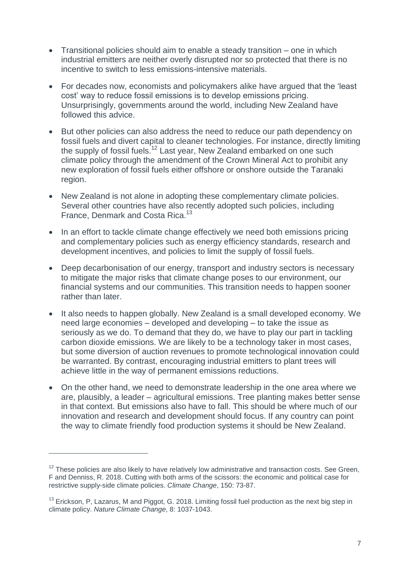- Transitional policies should aim to enable a steady transition one in which industrial emitters are neither overly disrupted nor so protected that there is no incentive to switch to less emissions-intensive materials.
- For decades now, economists and policymakers alike have argued that the 'least cost' way to reduce fossil emissions is to develop emissions pricing. Unsurprisingly, governments around the world, including New Zealand have followed this advice.
- But other policies can also address the need to reduce our path dependency on fossil fuels and divert capital to cleaner technologies. For instance, directly limiting the supply of fossil fuels.<sup>12</sup> Last year, New Zealand embarked on one such climate policy through the amendment of the Crown Mineral Act to prohibit any new exploration of fossil fuels either offshore or onshore outside the Taranaki region.
- New Zealand is not alone in adopting these complementary climate policies. Several other countries have also recently adopted such policies, including France, Denmark and Costa Rica.<sup>13</sup>
- In an effort to tackle climate change effectively we need both emissions pricing and complementary policies such as energy efficiency standards, research and development incentives, and policies to limit the supply of fossil fuels.
- Deep decarbonisation of our energy, transport and industry sectors is necessary to mitigate the major risks that climate change poses to our environment, our financial systems and our communities. This transition needs to happen sooner rather than later.
- It also needs to happen globally. New Zealand is a small developed economy. We need large economies – developed and developing – to take the issue as seriously as we do. To demand that they do, we have to play our part in tackling carbon dioxide emissions. We are likely to be a technology taker in most cases, but some diversion of auction revenues to promote technological innovation could be warranted. By contrast, encouraging industrial emitters to plant trees will achieve little in the way of permanent emissions reductions.
- On the other hand, we need to demonstrate leadership in the one area where we are, plausibly, a leader – agricultural emissions. Tree planting makes better sense in that context. But emissions also have to fall. This should be where much of our innovation and research and development should focus. If any country can point the way to climate friendly food production systems it should be New Zealand.

 $12$  These policies are also likely to have relatively low administrative and transaction costs. See Green, F and Denniss, R. 2018. Cutting with both arms of the scissors: the economic and political case for restrictive supply-side climate policies. *Climate Change*, 150: 73-87.

 $13$  Erickson, P, Lazarus, M and Piggot, G. 2018. Limiting fossil fuel production as the next big step in climate policy. *Nature Climate Change*, 8: 1037-1043.